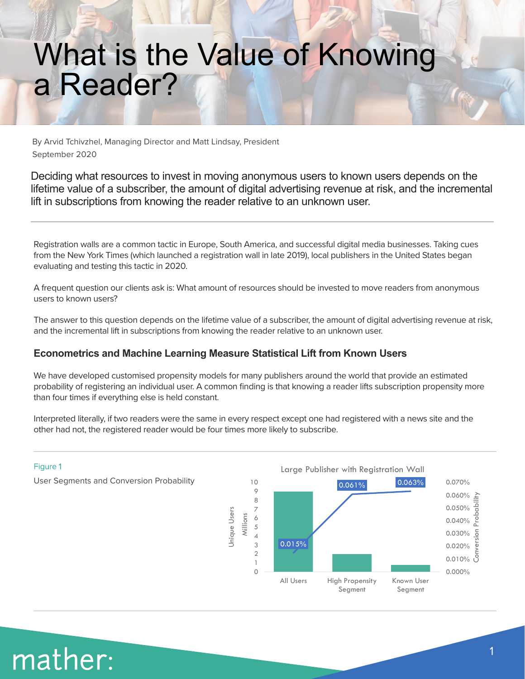### What is the Value of Knowing a Reader?

By Arvid Tchivzhel, Managing Director and Matt Lindsay, President September 2020

Deciding what resources to invest in moving anonymous users to known users depends on the lifetime value of a subscriber, the amount of digital advertising revenue at risk, and the incremental lift in subscriptions from knowing the reader relative to an unknown user.

Registration walls are a common tactic in Europe, South America, and successful digital media businesses. Taking cues from the New York Times (which launched a registration wall in late 2019), local publishers in the United States began evaluating and testing this tactic in 2020.

A frequent question our clients ask is: What amount of resources should be invested to move readers from anonymous users to known users?

The answer to this question depends on the lifetime value of a subscriber, the amount of digital advertising revenue at risk, and the incremental lift in subscriptions from knowing the reader relative to an unknown user.

#### **Econometrics and Machine Learning Measure Statistical Lift from Known Users**

We have developed customised propensity models for many publishers around the world that provide an estimated probability of registering an individual user. A common finding is that knowing a reader lifts subscription propensity more than four times if everything else is held constant.

Interpreted literally, if two readers were the same in every respect except one had registered with a news site and the other had not, the registered reader would be four times more likely to subscribe.



### mather: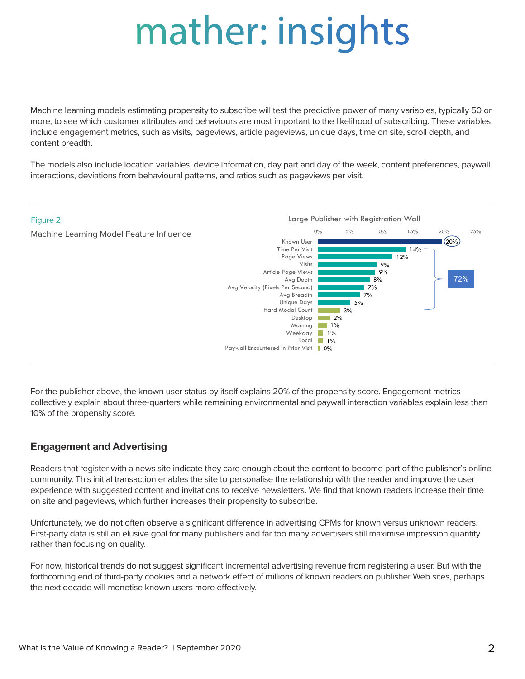# mather: insights

Machine learning models estimating propensity to subscribe will test the predictive power of many variables, typically 50 or more, to see which customer attributes and behaviours are most important to the likelihood of subscribing. These variables include engagement metrics, such as visits, pageviews, article pageviews, unique days, time on site, scroll depth, and content breadth.

The models also include location variables, device information, day part and day of the week, content preferences, paywall interactions, deviations from behavioural patterns, and ratios such as pageviews per visit.



For the publisher above, the known user status by itself explains 20% of the propensity score. Engagement metrics collectively explain about three-quarters while remaining environmental and paywall interaction variables explain less than 10% of the propensity score.

#### **Engagement and Advertising**

Readers that register with a news site indicate they care enough about the content to become part of the publisher's online community. This initial transaction enables the site to personalise the relationship with the reader and improve the user experience with suggested content and invitations to receive newsletters. We find that known readers increase their time on site and pageviews, which further increases their propensity to subscribe.

Unfortunately, we do not often observe a significant difference in advertising CPMs for known versus unknown readers. First-party data is still an elusive goal for many publishers and far too many advertisers still maximise impression quantity rather than focusing on quality.

For now, historical trends do not suggest significant incremental advertising revenue from registering a user. But with the forthcoming end of third-party cookies and a network effect of millions of known readers on publisher Web sites, perhaps the next decade will monetise known users more effectively.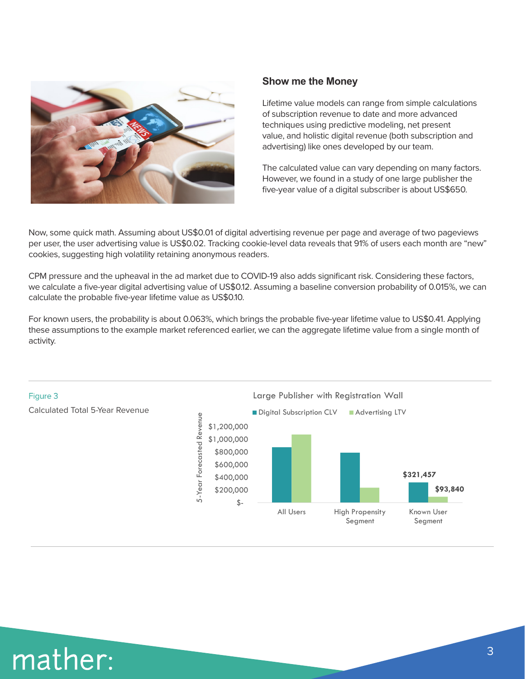

#### **Show me the Money**

Lifetime value models can range from simple calculations of subscription revenue to date and more advanced techniques using predictive modeling, net present value, and holistic digital revenue (both subscription and advertising) like ones developed by our team.

The calculated value can vary depending on many factors. However, we found in a study of one large publisher the five-year value of a digital subscriber is about US\$650.

Now, some quick math. Assuming about US\$0.01 of digital advertising revenue per page and average of two pageviews per user, the user advertising value is US\$0.02. Tracking cookie-level data reveals that 91% of users each month are "new" cookies, suggesting high volatility retaining anonymous readers.

CPM pressure and the upheaval in the ad market due to COVID-19 also adds significant risk. Considering these factors, we calculate a five-year digital advertising value of US\$0.12. Assuming a baseline conversion probability of 0.015%, we can calculate the probable five-year lifetime value as US\$0.10.

For known users, the probability is about 0.063%, which brings the probable five-year lifetime value to US\$0.41. Applying these assumptions to the example market referenced earlier, we can the aggregate lifetime value from a single month of activity.